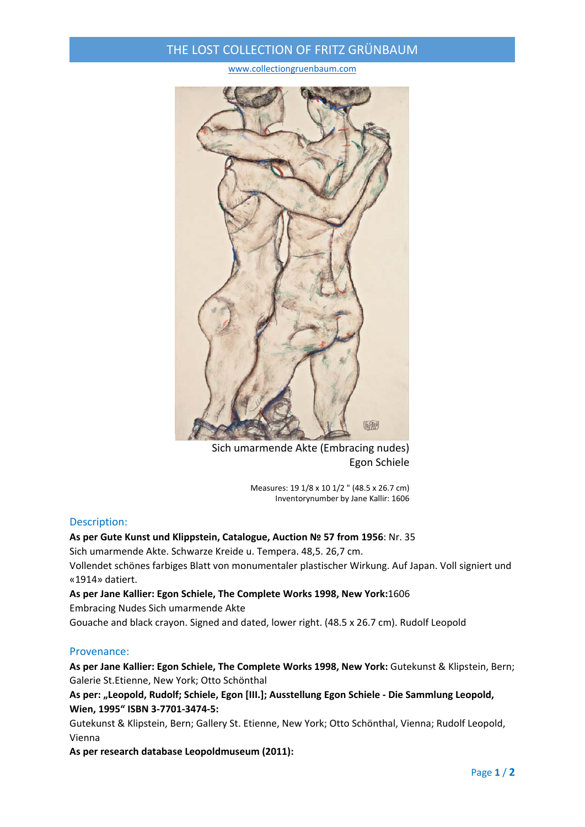## THE LOST COLLECTION OF FRITZ GRÜNBAUM

www.collectiongruenbaum.com



Sich umarmende Akte (Embracing nudes) Egon Schiele

Measures: 19 1/8 x 10 1/2 " (48.5 x 26.7 cm) Inventorynumber by Jane Kallir: 1606

### Description:

#### **As per Gute Kunst und Klippstein, Catalogue, Auction № 57 from 1956**: Nr. 35

Sich umarmende Akte. Schwarze Kreide u. Tempera. 48,5. 26,7 cm.

Vollendet schönes farbiges Blatt von monumentaler plastischer Wirkung. Auf Japan. Voll signiert und «1914» datiert.

#### **As per Jane Kallier: Egon Schiele, The Complete Works 1998, New York:**1606

Embracing Nudes Sich umarmende Akte

Gouache and black crayon. Signed and dated, lower right. (48.5 x 26.7 cm). Rudolf Leopold

#### Provenance:

**As per Jane Kallier: Egon Schiele, The Complete Works 1998, New York:** Gutekunst & Klipstein, Bern; Galerie St.Etienne, New York; Otto Schönthal

**As per: "Leopold, Rudolf; Schiele, Egon [III.]; Ausstellung Egon Schiele ‐ Die Sammlung Leopold, Wien, 1995" ISBN 3‐7701‐3474‐5:**

Gutekunst & Klipstein, Bern; Gallery St. Etienne, New York; Otto Schönthal, Vienna; Rudolf Leopold, Vienna

**As per research database Leopoldmuseum (2011):**